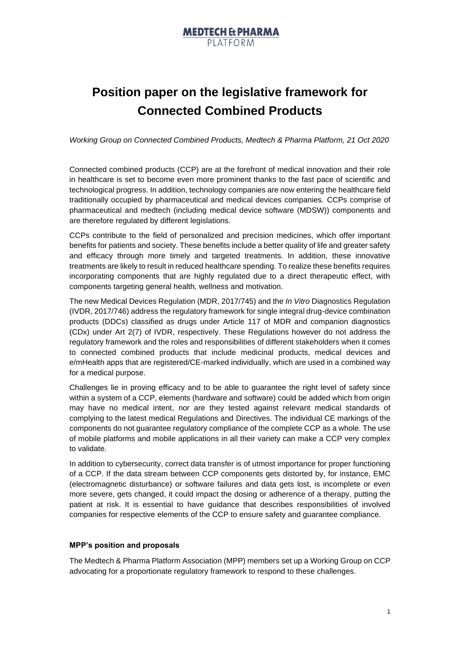

## **Position paper on the legislative framework for Connected Combined Products**

*Working Group on Connected Combined Products, Medtech & Pharma Platform, 21 Oct 2020*

Connected combined products (CCP) are at the forefront of medical innovation and their role in healthcare is set to become even more prominent thanks to the fast pace of scientific and technological progress. In addition, technology companies are now entering the healthcare field traditionally occupied by pharmaceutical and medical devices companies. CCPs comprise of pharmaceutical and medtech (including medical device software (MDSW)) components and are therefore regulated by different legislations.

CCPs contribute to the field of personalized and precision medicines, which offer important benefits for patients and society. These benefits include a better quality of life and greater safety and efficacy through more timely and targeted treatments. In addition, these innovative treatments are likely to result in reduced healthcare spending. To realize these benefits requires incorporating components that are highly regulated due to a direct therapeutic effect, with components targeting general health, wellness and motivation.

The new Medical Devices Regulation (MDR, 2017/745) and the *In Vitro* Diagnostics Regulation (IVDR, 2017/746) address the regulatory framework for single integral drug-device combination products (DDCs) classified as drugs under Article 117 of MDR and companion diagnostics (CDx) under Art 2(7) of IVDR, respectively. These Regulations however do not address the regulatory framework and the roles and responsibilities of different stakeholders when it comes to connected combined products that include medicinal products, medical devices and e/mHealth apps that are registered/CE-marked individually, which are used in a combined way for a medical purpose.

Challenges lie in proving efficacy and to be able to guarantee the right level of safety since within a system of a CCP, elements (hardware and software) could be added which from origin may have no medical intent, nor are they tested against relevant medical standards of complying to the latest medical Regulations and Directives. The individual CE markings of the components do not guarantee regulatory compliance of the complete CCP as a whole. The use of mobile platforms and mobile applications in all their variety can make a CCP very complex to validate.

In addition to cybersecurity, correct data transfer is of utmost importance for proper functioning of a CCP. If the data stream between CCP components gets distorted by, for instance, EMC (electromagnetic disturbance) or software failures and data gets lost, is incomplete or even more severe, gets changed, it could impact the dosing or adherence of a therapy, putting the patient at risk. It is essential to have guidance that describes responsibilities of involved companies for respective elements of the CCP to ensure safety and guarantee compliance.

## **MPP's position and proposals**

The Medtech & Pharma Platform Association (MPP) members set up a Working Group on CCP advocating for a proportionate regulatory framework to respond to these challenges.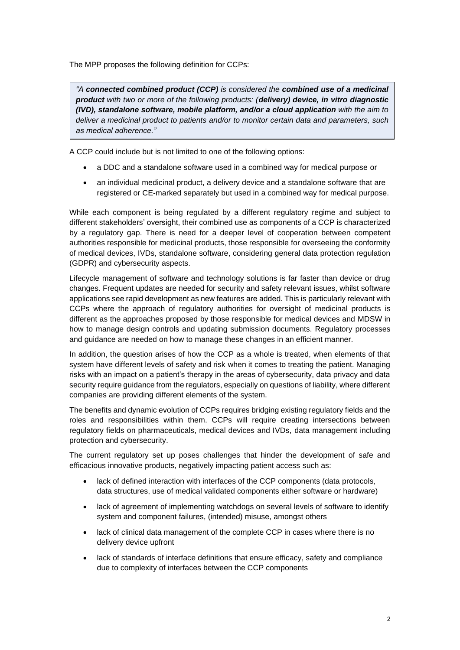The MPP proposes the following definition for CCPs:

*"A connected combined product (CCP) is considered the combined use of a medicinal product with two or more of the following products: (delivery) device, in vitro diagnostic (IVD), standalone software, mobile platform, and/or a cloud application with the aim to deliver a medicinal product to patients and/or to monitor certain data and parameters, such as medical adherence."*

A CCP could include but is not limited to one of the following options:

- a DDC and a standalone software used in a combined way for medical purpose or
- an individual medicinal product, a delivery device and a standalone software that are registered or CE-marked separately but used in a combined way for medical purpose.

While each component is being regulated by a different regulatory regime and subject to different stakeholders' oversight, their combined use as components of a CCP is characterized by a regulatory gap. There is need for a deeper level of cooperation between competent authorities responsible for medicinal products, those responsible for overseeing the conformity of medical devices, IVDs, standalone software, considering general data protection regulation (GDPR) and cybersecurity aspects.

Lifecycle management of software and technology solutions is far faster than device or drug changes. Frequent updates are needed for security and safety relevant issues, whilst software applications see rapid development as new features are added. This is particularly relevant with CCPs where the approach of regulatory authorities for oversight of medicinal products is different as the approaches proposed by those responsible for medical devices and MDSW in how to manage design controls and updating submission documents. Regulatory processes and guidance are needed on how to manage these changes in an efficient manner.

In addition, the question arises of how the CCP as a whole is treated, when elements of that system have different levels of safety and risk when it comes to treating the patient. Managing risks with an impact on a patient's therapy in the areas of cybersecurity, data privacy and data security require guidance from the regulators, especially on questions of liability, where different companies are providing different elements of the system.

The benefits and dynamic evolution of CCPs requires bridging existing regulatory fields and the roles and responsibilities within them. CCPs will require creating intersections between regulatory fields on pharmaceuticals, medical devices and IVDs, data management including protection and cybersecurity.

The current regulatory set up poses challenges that hinder the development of safe and efficacious innovative products, negatively impacting patient access such as:

- lack of defined interaction with interfaces of the CCP components (data protocols, data structures, use of medical validated components either software or hardware)
- lack of agreement of implementing watchdogs on several levels of software to identify system and component failures, (intended) misuse, amongst others
- lack of clinical data management of the complete CCP in cases where there is no delivery device upfront
- lack of standards of interface definitions that ensure efficacy, safety and compliance due to complexity of interfaces between the CCP components